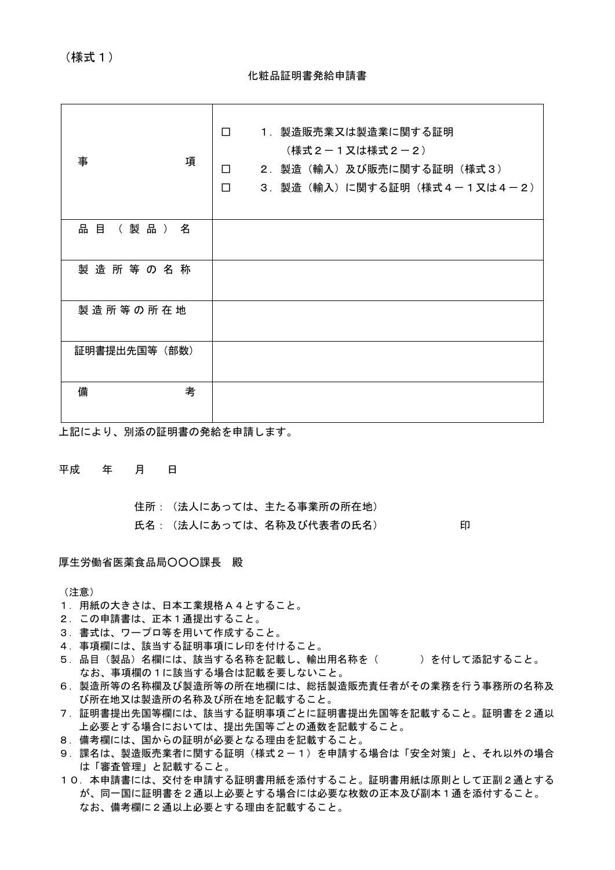(様式1)

#### 化粧品証明書発給申請書

| 事<br>項           | 1. 製造販売業又は製造業に関する証明<br>$\Box$<br>(様式2-1又は様式2-2)<br>2. 製造(輸入)及び販売に関する証明(様式3)<br>$\Box$<br>3. 製造 (輸入) に関する証明 (様式4-1又は4-2)<br>$\Box$ |
|------------------|-----------------------------------------------------------------------------------------------------------------------------------|
| 品 目<br>( 製 品 ) 名 |                                                                                                                                   |
| 製造所等の名称          |                                                                                                                                   |
| 製造所等の所在地         |                                                                                                                                   |
| 証明書提出先国等(部数)     |                                                                                                                                   |
| 備<br>考           |                                                                                                                                   |

上記により、別添の証明書の発給を申請します。

#### 平成 年 月 日

住所:(法人にあっては、主たる事業所の所在地) 氏名: (法人にあっては、名称及び代表者の氏名) アンストランド 印

厚生労働省医薬食品局○○○課長 殿

(注意)

- 1. 用紙の大きさは、日本工業規格A4とすること。
- 2. この申請書は、正本1通提出すること。
- 3.書式は、ワープロ等を用いて作成すること。
- 4.事項欄には、該当する証明事項にレ印を付けること。
- 5. 品目(製品)名欄には、該当する名称を記載し、輸出用名称を( )を付して添記すること。 なお、事項欄の1に該当する場合は記載を要しないこと。
- 6.製造所等の名称欄及び製造所等の所在地欄には、総括製造販売責任者がその業務を行う事務所の名称及 び所在地又は製造所の名称及び所在地を記載すること。
- 7.証明書提出先国等欄には、該当する証明事項ごとに証明書提出先国等を記載すること。証明書を2通以 上必要とする場合においては、提出先国等ごとの通数を記載すること。
- 8.備考欄には、国からの証明が必要となる理由を記載すること。
- 9. 課名は、製造販売業者に関する証明(様式2-1)を申請する場合は「安全対策」と、それ以外の場合 は「審査管理」と記載すること。
- 10.本申請書には、交付を申請する証明書用紙を添付すること。証明書用紙は原則として正副2通とする が、同一国に証明書を2通以上必要とする場合には必要な枚数の正本及び副本1通を添付すること。 なお、備考欄に2通以上必要とする理由を記載すること。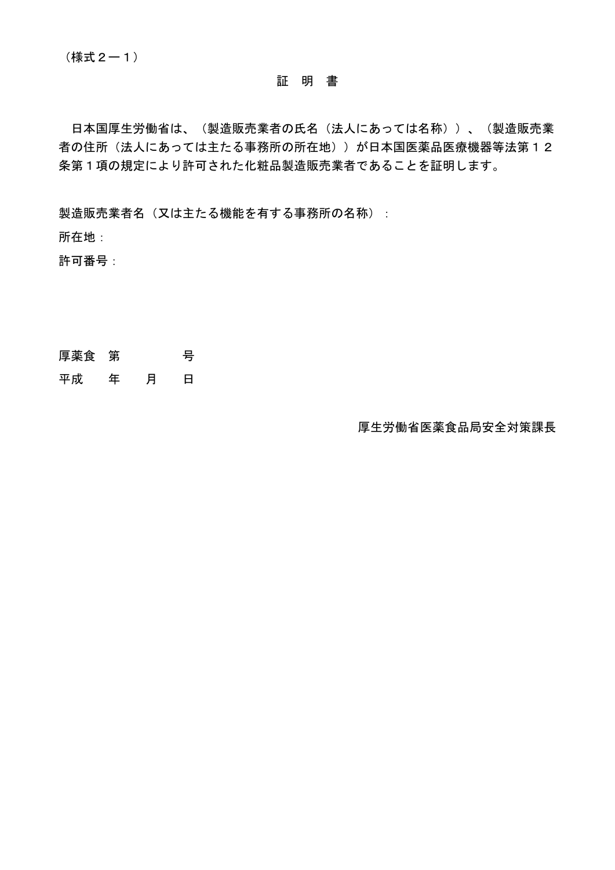日本国厚生労働省は、(製造販売業者の氏名(法人にあっては名称))、(製造販売業 者の住所(法人にあっては主たる事務所の所在地))が日本国医薬品医療機器等法第12 条第1項の規定により許可された化粧品製造販売業者であることを証明します。

製造販売業者名(又は主たる機能を有する事務所の名称):

所在地:

許可番号:

厚薬食 第 号

平成 年 月 日

厚生労働省医薬食品局安全対策課長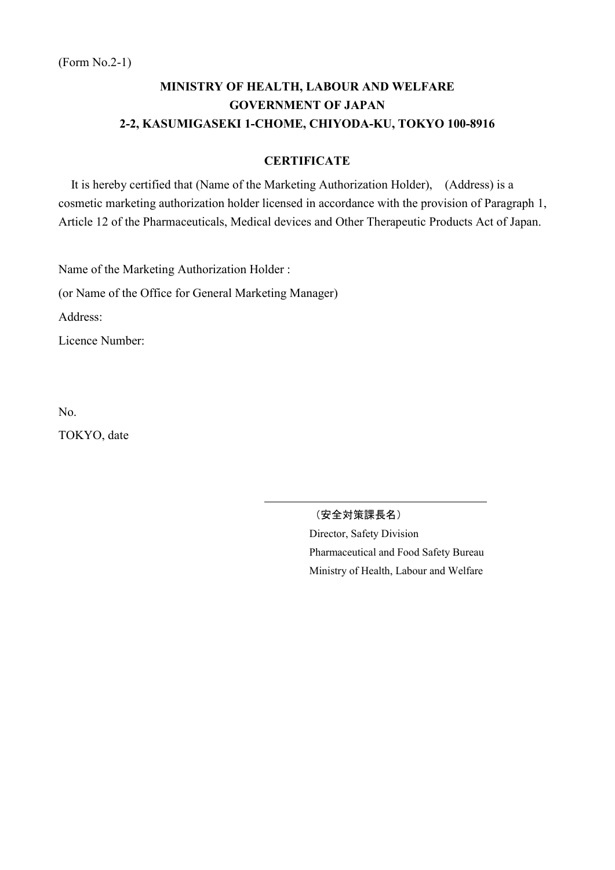### **CERTIFICATE**

It is hereby certified that (Name of the Marketing Authorization Holder), (Address) is a cosmetic marketing authorization holder licensed in accordance with the provision of Paragraph 1, Article 12 of the Pharmaceuticals, Medical devices and Other Therapeutic Products Act of Japan.

Name of the Marketing Authorization Holder :

(or Name of the Office for General Marketing Manager)

Address:

Licence Number:

No. TOKYO, date

(安全対策課長名)

Director, Safety Division Pharmaceutical and Food Safety Bureau Ministry of Health, Labour and Welfare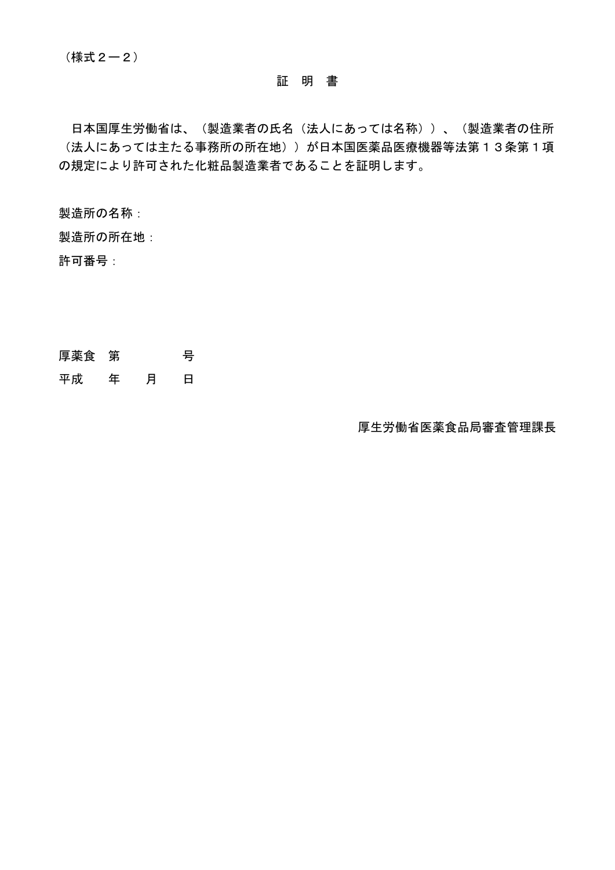日本国厚生労働省は、(製造業者の氏名(法人にあっては名称))、(製造業者の住所 (法人にあっては主たる事務所の所在地))が日本国医薬品医療機器等法第13条第1項 の規定により許可された化粧品製造業者であることを証明します。

製造所の名称:

製造所の所在地:

許可番号:

厚薬食 第 号

平成 年 月 日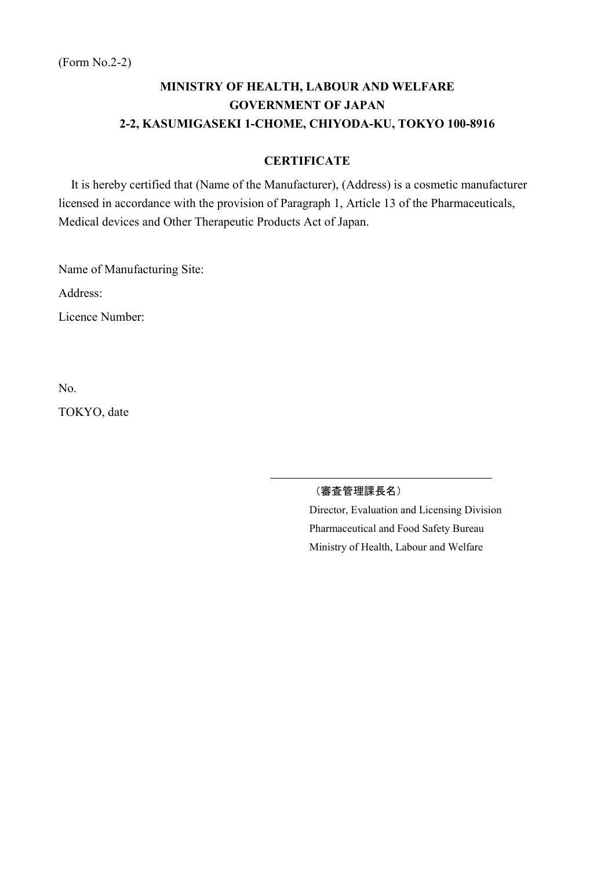### **CERTIFICATE**

It is hereby certified that (Name of the Manufacturer), (Address) is a cosmetic manufacturer licensed in accordance with the provision of Paragraph 1, Article 13 of the Pharmaceuticals, Medical devices and Other Therapeutic Products Act of Japan.

Name of Manufacturing Site:

Address:

Licence Number:

No.

TOKYO, date

(審査管理課長名)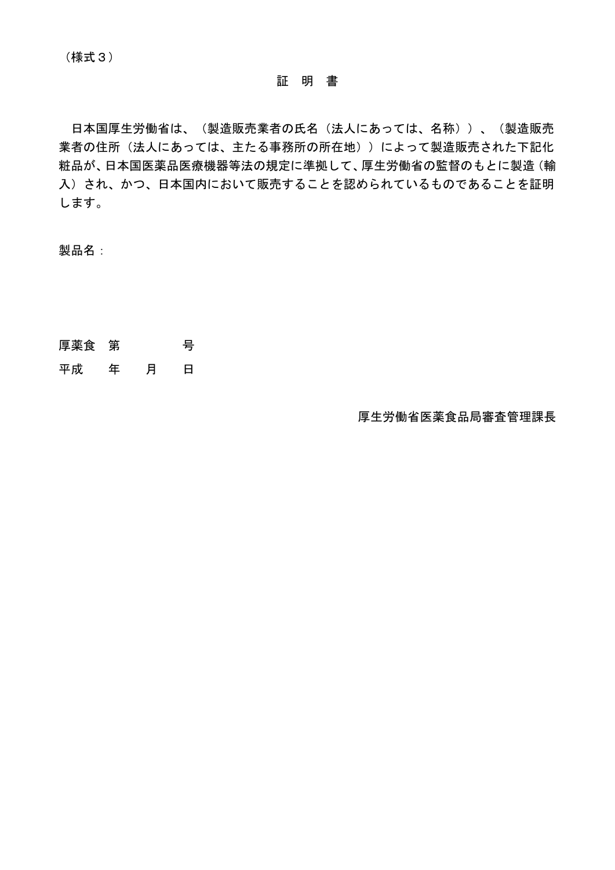日本国厚生労働省は、(製造販売業者の氏名(法人にあっては、名称))、(製造販売 業者の住所(法人にあっては、主たる事務所の所在地))によって製造販売された下記化 粧品が、日本国医薬品医療機器等法の規定に準拠して、厚生労働省の監督のもとに製造(輸 入)され、かつ、日本国内において販売することを認められているものであることを証明 します。

製品名:

- 厚薬食 第 号
- 平成 年 月 日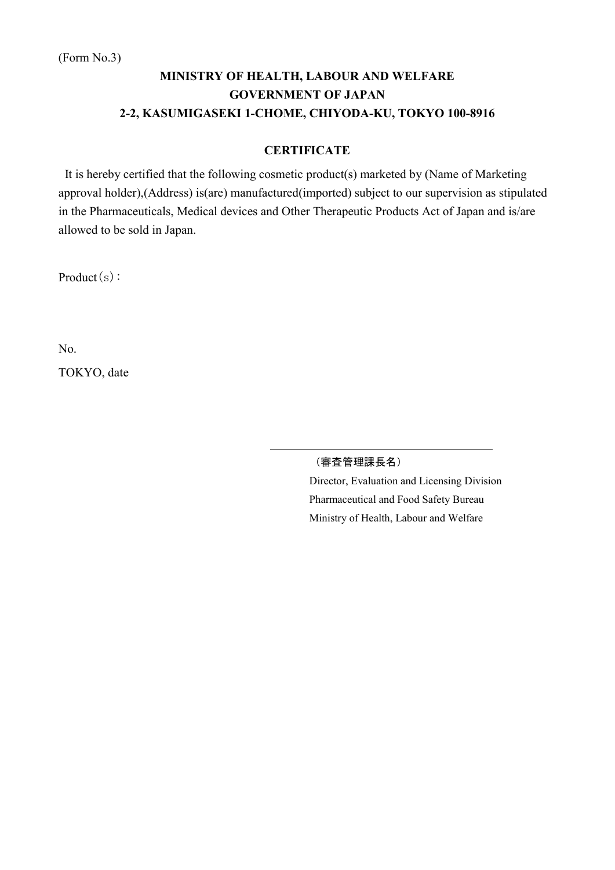## **CERTIFICATE**

It is hereby certified that the following cosmetic product(s) marketed by (Name of Marketing approval holder),(Address) is(are) manufactured(imported) subject to our supervision as stipulated in the Pharmaceuticals, Medical devices and Other Therapeutic Products Act of Japan and is/are allowed to be sold in Japan.

Product(s):

No.

TOKYO, date

### (審査管理課長名)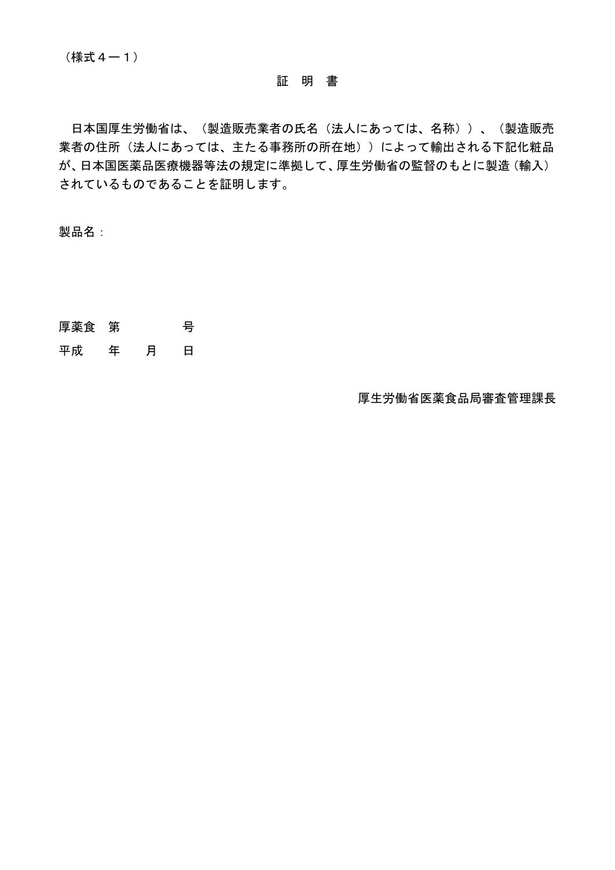日本国厚生労働省は、(製造販売業者の氏名(法人にあっては、名称))、(製造販売 業者の住所(法人にあっては、主たる事務所の所在地))によって輸出される下記化粧品 が、日本国医薬品医療機器等法の規定に準拠して、厚生労働省の監督のもとに製造(輸入) されているものであることを証明します。

製品名:

- 厚薬食 第 号
- 平成 年 月 日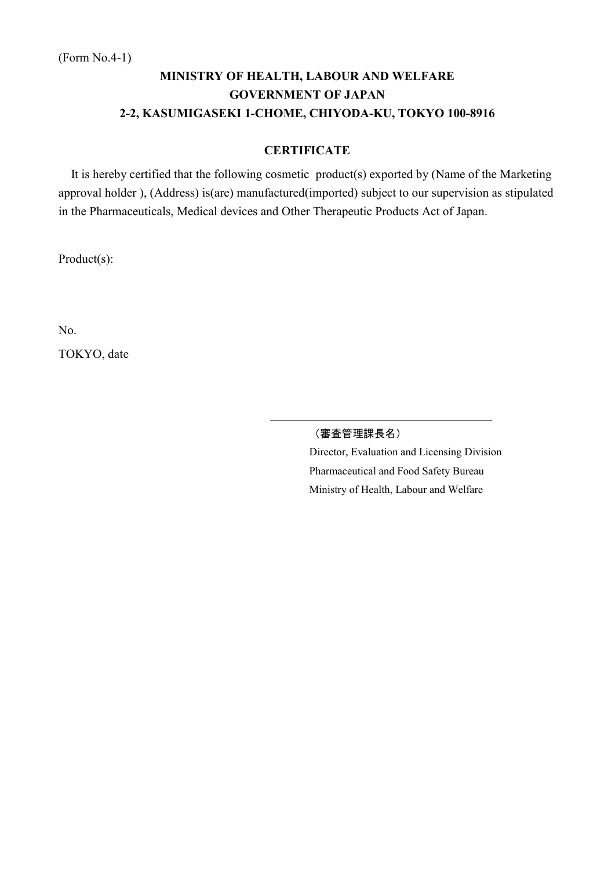## **CERTIFICATE**

It is hereby certified that the following cosmetic product(s) exported by (Name of the Marketing approval holder ), (Address) is(are) manufactured(imported) subject to our supervision as stipulated in the Pharmaceuticals, Medical devices and Other Therapeutic Products Act of Japan.

Product(s):

No.

TOKYO, date

(審査管理課長名)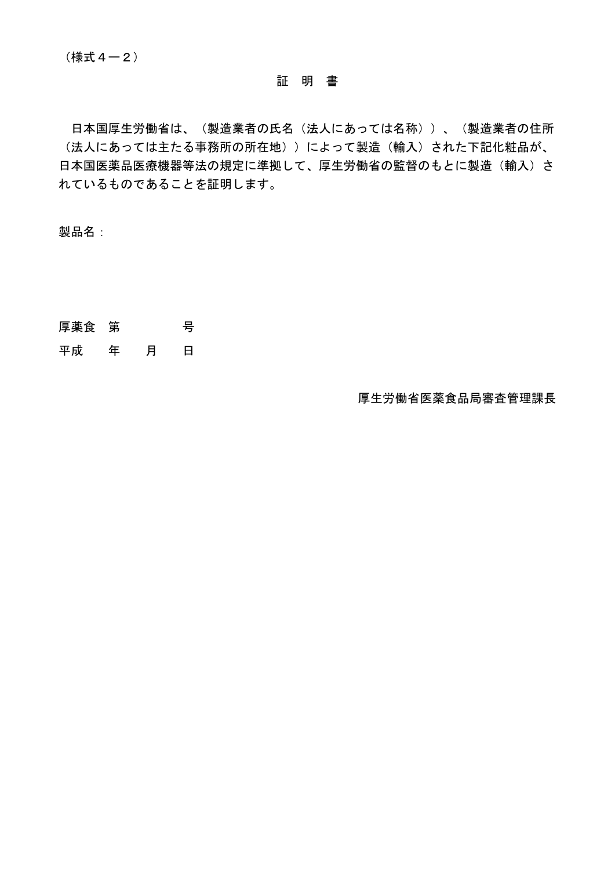日本国厚生労働省は、(製造業者の氏名(法人にあっては名称))、(製造業者の住所 (法人にあっては主たる事務所の所在地))によって製造(輸入)された下記化粧品が、 日本国医薬品医療機器等法の規定に準拠して、厚生労働省の監督のもとに製造(輸入)さ れているものであることを証明します。

製品名:

- 厚薬食 第 号
- 平成 年 月 日